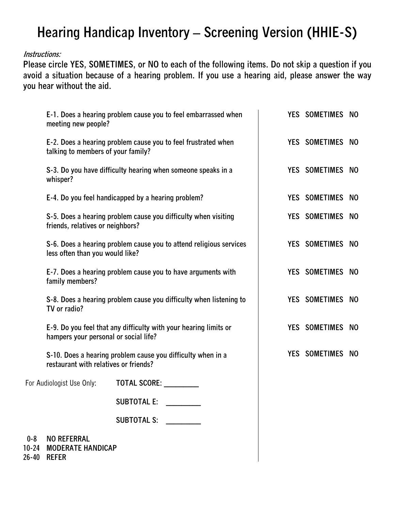## **Hearing Handicap Inventory – Screening Version (HHIE-S)**

## **Instructions:**

**Please circle YES, SOMETIMES, or NO to each of the following items. Do not skip a question if you avoid a situation because of a hearing problem. If you use a hearing aid, please answer the way you hear without the aid.** 

|         | E-1. Does a hearing problem cause you to feel embarrassed when<br>meeting new people?                                                                                                           |                     |  |  |  | YES SOMETIMES NO |     |
|---------|-------------------------------------------------------------------------------------------------------------------------------------------------------------------------------------------------|---------------------|--|--|--|------------------|-----|
|         | E-2. Does a hearing problem cause you to feel frustrated when<br>talking to members of your family?                                                                                             |                     |  |  |  | YES SOMETIMES NO |     |
|         | S-3. Do you have difficulty hearing when someone speaks in a<br>whisper?                                                                                                                        |                     |  |  |  | YES SOMETIMES NO |     |
|         | E-4. Do you feel handicapped by a hearing problem?                                                                                                                                              |                     |  |  |  | YES SOMETIMES NO |     |
|         | S-5. Does a hearing problem cause you difficulty when visiting<br>friends, relatives or neighbors?                                                                                              |                     |  |  |  | YES SOMETIMES NO |     |
|         | S-6. Does a hearing problem cause you to attend religious services<br>less often than you would like?<br>E-7. Does a hearing problem cause you to have arguments with<br>family members?        |                     |  |  |  | YES SOMETIMES NO |     |
|         |                                                                                                                                                                                                 |                     |  |  |  | YES SOMETIMES    | NO. |
|         | S-8. Does a hearing problem cause you difficulty when listening to<br>TV or radio?<br>E-9. Do you feel that any difficulty with your hearing limits or<br>hampers your personal or social life? |                     |  |  |  | YES SOMETIMES    | NO  |
|         |                                                                                                                                                                                                 |                     |  |  |  | YES SOMETIMES    | NO  |
|         | S-10. Does a hearing problem cause you difficulty when in a<br>restaurant with relatives or friends?                                                                                            |                     |  |  |  | YES SOMETIMES    | NO  |
|         | For Audiologist Use Only:                                                                                                                                                                       | <b>TOTAL SCORE:</b> |  |  |  |                  |     |
|         |                                                                                                                                                                                                 | <b>SUBTOTAL E:</b>  |  |  |  |                  |     |
|         |                                                                                                                                                                                                 | SUBTOTAL S:         |  |  |  |                  |     |
| $0 - 8$ | <b>NO REFERRAL</b><br>10-24 MODERATE HANDICAP                                                                                                                                                   |                     |  |  |  |                  |     |

**26-40 REFER**